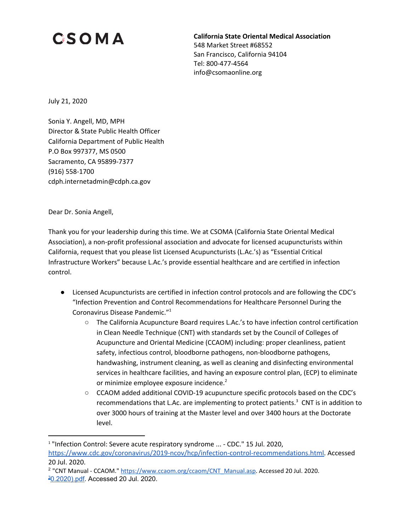## **CSOMA**

**California State Oriental Medical Association** 548 Market Street #68552 San Francisco, California 94104 Tel: 800-477-4564 info@csomaonline.org

July 21, 2020

Sonia Y. Angell, MD, MPH Director & State Public Health Officer California Department of Public Health P.O Box 997377, MS 0500 Sacramento, CA 95899-7377 (916) 558-1700 cdph.internetadmin@cdph.ca.gov

Dear Dr. Sonia Angell,

Thank you for your leadership during this time. We at CSOMA (California State Oriental Medical Association), a non-profit professional association and advocate for licensed acupuncturists within California, request that you please list Licensed Acupuncturists (L.Ac.'s) as "Essential Critical Infrastructure Workers" because L.Ac.'s provide essential healthcare and are certified in infection control.

- Licensed Acupuncturists are certified in infection control protocols and are following the CDC's "Infection Prevention and Control Recommendations for Healthcare Personnel During the Coronavirus Disease Pandemic." 1
	- The California Acupuncture Board requires L.Ac.'s to have infection control certification in Clean Needle Technique (CNT) with standards set by the Council of Colleges of Acupuncture and Oriental Medicine (CCAOM) including: proper cleanliness, patient safety, infectious control, bloodborne pathogens, non-bloodborne pathogens, handwashing, instrument cleaning, as well as cleaning and disinfecting environmental services in healthcare facilities, and having an exposure control plan, (ECP) to eliminate or minimize employee exposure incidence.<sup>2</sup>
	- CCAOM added additional COVID-19 acupuncture specific protocols based on the CDC's recommendations that L.Ac. are implementing to protect patients.<sup>3</sup> CNT is in addition to over 3000 hours of training at the Master level and over 3400 hours at the Doctorate level.

<sup>&</sup>lt;sup>1</sup> "Infection Control: Severe acute respiratory syndrome ... - CDC." 15 Jul. 2020,

[https://www.cdc.gov/coronavirus/2019-ncov/hcp/infection-control-recommendations.html.](https://www.cdc.gov/coronavirus/2019-ncov/hcp/infection-control-recommendations.html) Accessed 20 Jul. 2020.

<sup>2</sup> "CNT Manual - CCAOM." [https://www.ccaom.org/ccaom/CNT\\_Manual.asp](https://www.ccaom.org/ccaom/CNT_Manual.asp). Accessed 20 Jul. 2020. <sup>3</sup>[0.2020\).pdf.](https://www.ccaom.org/images/ccaom/Documents/COVID-19/CCAOM%20Clinic%20Infection%20Control%20Advisory%20(Updated%204.30.2020).pdf) Accessed 20 Jul. 2020.